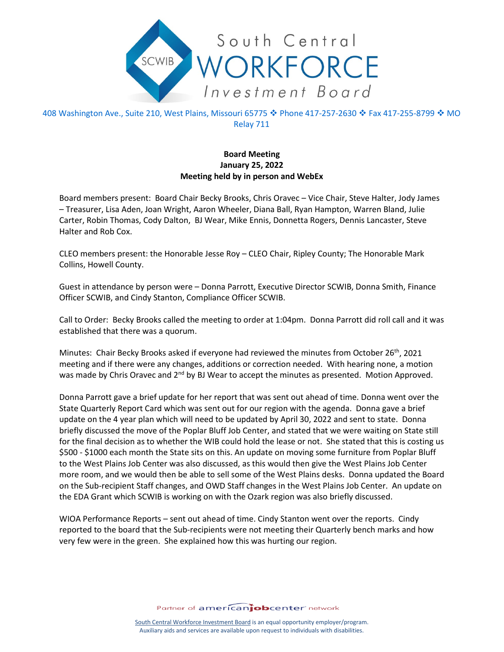

408 Washington Ave., Suite 210, West Plains, Missouri 65775 � Phone 417-257-2630 � Fax 417-255-8799 � MO Relay 711

## **Board Meeting January 25, 2022 Meeting held by in person and WebEx**

Board members present: Board Chair Becky Brooks, Chris Oravec – Vice Chair, Steve Halter, Jody James – Treasurer, Lisa Aden, Joan Wright, Aaron Wheeler, Diana Ball, Ryan Hampton, Warren Bland, Julie Carter, Robin Thomas, Cody Dalton, BJ Wear, Mike Ennis, Donnetta Rogers, Dennis Lancaster, Steve Halter and Rob Cox.

CLEO members present: the Honorable Jesse Roy – CLEO Chair, Ripley County; The Honorable Mark Collins, Howell County.

Guest in attendance by person were – Donna Parrott, Executive Director SCWIB, Donna Smith, Finance Officer SCWIB, and Cindy Stanton, Compliance Officer SCWIB.

Call to Order: Becky Brooks called the meeting to order at 1:04pm. Donna Parrott did roll call and it was established that there was a quorum.

Minutes: Chair Becky Brooks asked if everyone had reviewed the minutes from October 26<sup>th</sup>, 2021 meeting and if there were any changes, additions or correction needed. With hearing none, a motion was made by Chris Oravec and 2<sup>nd</sup> by BJ Wear to accept the minutes as presented. Motion Approved.

Donna Parrott gave a brief update for her report that was sent out ahead of time. Donna went over the State Quarterly Report Card which was sent out for our region with the agenda. Donna gave a brief update on the 4 year plan which will need to be updated by April 30, 2022 and sent to state. Donna briefly discussed the move of the Poplar Bluff Job Center, and stated that we were waiting on State still for the final decision as to whether the WIB could hold the lease or not. She stated that this is costing us \$500 - \$1000 each month the State sits on this. An update on moving some furniture from Poplar Bluff to the West Plains Job Center was also discussed, as this would then give the West Plains Job Center more room, and we would then be able to sell some of the West Plains desks. Donna updated the Board on the Sub-recipient Staff changes, and OWD Staff changes in the West Plains Job Center. An update on the EDA Grant which SCWIB is working on with the Ozark region was also briefly discussed.

WIOA Performance Reports – sent out ahead of time. Cindy Stanton went over the reports. Cindy reported to the board that the Sub-recipients were not meeting their Quarterly bench marks and how very few were in the green. She explained how this was hurting our region.

Partner of americanjobcenter network